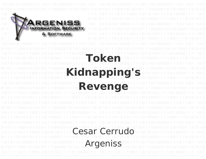

# **Token Kidnapping's**

**Revenge**

Cesar Cerrudo Argeniss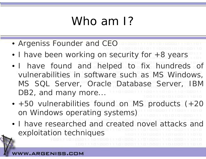## Who am 1?

- Argeniss Founder and CEC
- I have been working on security for +8 years
- I have found and helped to fix hundreds of vulnerabilities in software such as MS Windows, MS SQL Server, Oracle Database Server, IBM DB2, and many more...
- +50 vulnerabilities found on MS products (+20 on Windows operating systems)
- I have researched and created novel attacks and exploitation techniques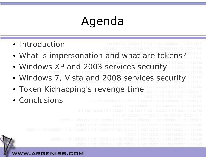# Agenda

- Introduction
	- What is impersonation and what are tokens?
	- Windows XP and 2003 services security
	- Windows 7, Vista and 2008 services security
	- Token Kidnapping's revenge time
	- $\bullet$  Conclusions

**.ARGENISS.COM**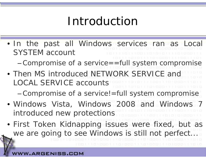### Introduction

• In the past all Windows services ran as Local SYSTEM account

– $-$  Compromise of a service==full system compromise

• Then MS introduced NETWORK SERVICE and LOCAL SERVICE accounts

–Compromise of a service!=full system compromise

- Windows Vista, Windows 2008 and Windows 7 introduced new protections
- First Token Kidnapping issues were fixed, but as we are going to see Windows is still not perfect...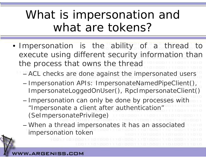### What is impersonation and what are tokens?

- Impersonation is the ability <sup>o</sup> f a thread to execute using different security information than the process that owns the thread
	- **Links of the Company**  ACL checks are done against the impersonated users
		- –- Impersonation APIs: ImpersonateNamedPipeClient(), ImpersonateLoggedOnUser(), RpcImpersonateClient()
	- and the state of the – Impersonation can only be done by processes with "Impersonate a client after authentication" (SelmpersonatePrivilege)
	- **Links of the Company**  When a thread impersonates it has an associated impersonation token

#### **RGENISS.**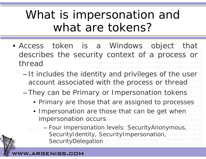### What is impersonation and what are tokens?

- Access token is <sup>a</sup> Windows object that describes the security context of <sup>a</sup> process or thread
	- –- It includes the identity and privileges of the user account associated with the process or thread
		- – They can be Primary or Impersonation tokens
			- Primary are those that are assigned to processes
			- Impersonation are those that can be get when impersonation occurs
			- and the state of the con- Four impersonation levels: SecurityAnonymous, SecurityIdentity, SecurityImpersonation, SecurityDelegation

#### RGENISS.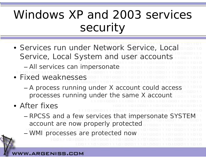### Windows XP and 2003 services security

- Services run under Network Service, Local Service, Local System and user accounts – All services can impersonate • Fixed weaknesses
	- – A process running under X account could access processes running under the same X account
- After fixes
	- – RPCSS and a few services that impersonate SYSTEM account are now properly protected
	- –WMI processes are protected now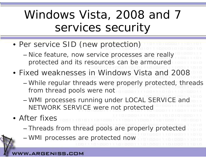### Windows Vista, 2008 and 7 services security

- Per service SID (new protection)
	- –- Nice feature, now service processes are really protected and its resources can be armoured
- Fixed weaknesses in Windows Vista and 2008
	- – While regular threads were properly protected, threads from thread pools were not
	- –- WMI processes running under LOCAL SERVICE and NETWORK SERVICE were not protected
- After fixes– Threads from thread pools are properly protected
	- –WMI processes are protected now

#### RGENISS.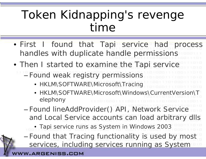### Token Kidnapping's revenge time

- First I found that Tapi service had process handles with duplicate handle permissions
- Then I started to examine the Tapi service Found weak registry permissions
	- HKLM\SOFTWARE\Microsoft\Tracing
	- HKLM\SOFTWARE\Microsoft\Windows\CurrentVersion\Telephony
	- Found lineAddProvider() API, Network Service and Local Service accounts can load arbitrary dlls
		- Tapi service runs as System in Windows 2003
	- – Found that Tracing functionality is used by most services, including services running as System

#### **ARGENISS.COM**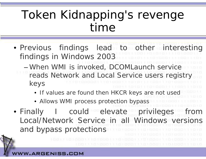### Token Kidnapping's revenge time

- Previous findings lead to other interesting findin gs in Windows 2003 When WMI is invoked, DCOMLaunch service reads Network and Local Service users registry keys
	- If values are found then HKCR keys are not used
	- Allows WMI process protection bypass
- Finally I could elevate privileges from Local/Network Service in all Windows versions and bypass protections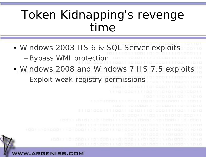### Token Kidnapping's revenge time

- Windows 2003 IIS 6 & SQL Server exploits Bypass WMI protection
- Windows 2008 and Windows 7 IIS 7.5 exploits Exploit weak registry permissions

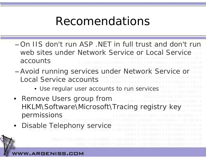### Recomendations

- On IIS don't run ASP .NET in full trust and don't run web sites under Network Service or Local Service accounts
- – Avoid running services under Network Service or Local Service accounts
	- Use regular user accounts to run services
- • Remove Users group from HKLM\Software\Microsoft\Tracing registry key permissions
- •Disable Telephony service

ARGENISS.COM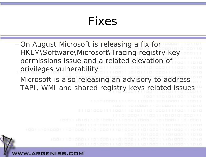#### Fixes

- – On August Microsoft is releasing a fix for HKLM\Software\Microsoft\Tracing registry key permissions issue and a related elevation of privileges vulnerability
- Microsoft is also releasing an advisory to address TAPI, WMI and shared registry keys related issues

#### .ARGENISS.COM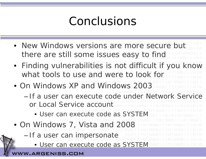### Conclusions

- New Windows versions are more secure but there are still some issues easy to find
- Finding vulnerabilities is not difficult if you know what tools to use and were to look for
- On Windows XP and Windows 2003
	- If a user can execute code under Network Service or Local Service account
		- User can execute code as SYSTEM
- On Windows 7, Vista and 2008
	- –– If a user can impersonate
		- User can execute code as SYSTEM

**ARGENISS.COM**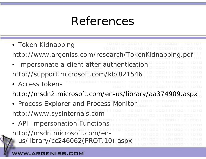### References

- Token Kidnapping http://www.argeniss.com/research/TokenKidnapping.pdf
- • Impersonate a client after authentication http://support.microsoft.com/kb/821546
- Access tokens
- http://msdn2.microsoft.com/en-us/library/aa374909.aspx
- Process Explorer and Process Monitor http://www.sysinternals.com
- API Impersonation Functions http://msdn.microsoft.com/enus/library/cc246062(PROT.10).aspx

#### **ARGENISS.**